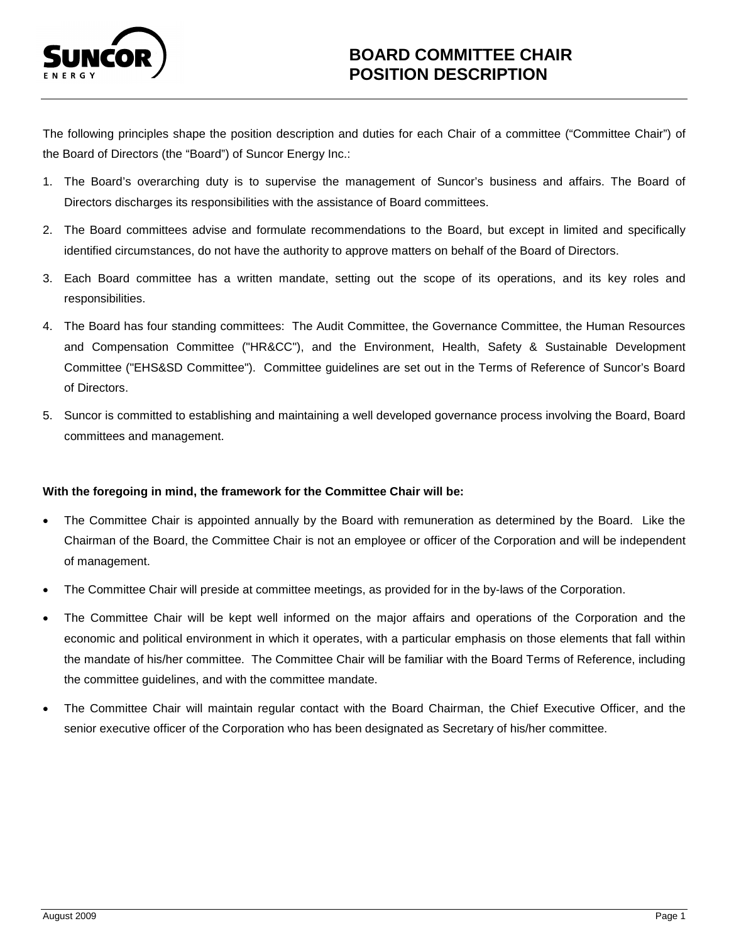

The following principles shape the position description and duties for each Chair of a committee ("Committee Chair") of the Board of Directors (the "Board") of Suncor Energy Inc.:

- 1. The Board's overarching duty is to supervise the management of Suncor's business and affairs. The Board of Directors discharges its responsibilities with the assistance of Board committees.
- 2. The Board committees advise and formulate recommendations to the Board, but except in limited and specifically identified circumstances, do not have the authority to approve matters on behalf of the Board of Directors.
- 3. Each Board committee has a written mandate, setting out the scope of its operations, and its key roles and responsibilities.
- 4. The Board has four standing committees: The Audit Committee, the Governance Committee, the Human Resources and Compensation Committee ("HR&CC"), and the Environment, Health, Safety & Sustainable Development Committee ("EHS&SD Committee"). Committee guidelines are set out in the Terms of Reference of Suncor's Board of Directors.
- 5. Suncor is committed to establishing and maintaining a well developed governance process involving the Board, Board committees and management.

# **With the foregoing in mind, the framework for the Committee Chair will be:**

- The Committee Chair is appointed annually by the Board with remuneration as determined by the Board. Like the Chairman of the Board, the Committee Chair is not an employee or officer of the Corporation and will be independent of management.
- The Committee Chair will preside at committee meetings, as provided for in the by-laws of the Corporation.
- The Committee Chair will be kept well informed on the major affairs and operations of the Corporation and the economic and political environment in which it operates, with a particular emphasis on those elements that fall within the mandate of his/her committee. The Committee Chair will be familiar with the Board Terms of Reference, including the committee guidelines, and with the committee mandate.
- The Committee Chair will maintain regular contact with the Board Chairman, the Chief Executive Officer, and the senior executive officer of the Corporation who has been designated as Secretary of his/her committee.